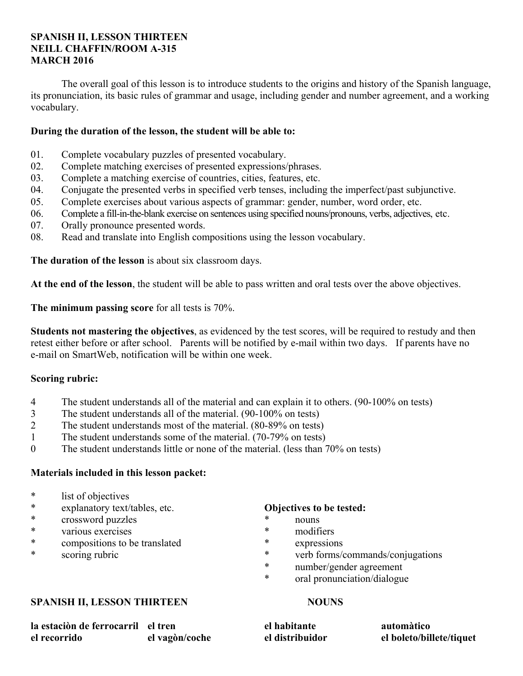# **SPANISH II, LESSON THIRTEEN NEILL CHAFFIN/ROOM A-315 MARCH 2016**

 The overall goal of this lesson is to introduce students to the origins and history of the Spanish language, its pronunciation, its basic rules of grammar and usage, including gender and number agreement, and a working vocabulary.

# **During the duration of the lesson, the student will be able to:**

- 01. Complete vocabulary puzzles of presented vocabulary.
- 02. Complete matching exercises of presented expressions/phrases.
- 03. Complete a matching exercise of countries, cities, features, etc.
- 04. Conjugate the presented verbs in specified verb tenses, including the imperfect/past subjunctive.
- 05. Complete exercises about various aspects of grammar: gender, number, word order, etc.
- 06. Complete a fill-in-the-blank exercise on sentences using specified nouns/pronouns, verbs, adjectives, etc.
- 07. Orally pronounce presented words.
- 08. Read and translate into English compositions using the lesson vocabulary.

**The duration of the lesson** is about six classroom days.

**At the end of the lesson**, the student will be able to pass written and oral tests over the above objectives.

**The minimum passing score** for all tests is 70%.

**Students not mastering the objectives**, as evidenced by the test scores, will be required to restudy and then retest either before or after school. Parents will be notified by e-mail within two days. If parents have no e-mail on SmartWeb, notification will be within one week.

# **Scoring rubric:**

- 4 The student understands all of the material and can explain it to others. (90-100% on tests)
- 3 The student understands all of the material. (90-100% on tests)
- 2 The student understands most of the material. (80-89% on tests)
- 1 The student understands some of the material. (70-79% on tests)
- 0 The student understands little or none of the material. (less than 70% on tests)

# **Materials included in this lesson packet:**

- \* list of objectives
- \* explanatory text/tables, etc.
- \* crossword puzzles
- various exercises
- \* compositions to be translated
- \* scoring rubric

# **Objectives to be tested:**

- \* nouns
- modifiers
- \* expressions
- \* verb forms/commands/conjugations
- \* number/gender agreement
- oral pronunciation/dialogue

# **SPANISH II, LESSON THIRTEEN NOUNS**

**el habitante el distribuidor** 

**automàtico el boleto/billete/tiquet** 

| la estación de ferrocarril el tren |                |
|------------------------------------|----------------|
| el recorrido                       | el vagòn/coche |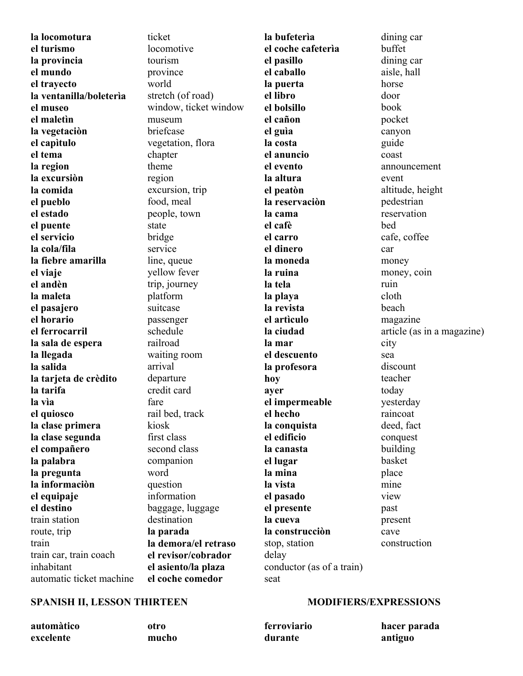**la locomotura el turismo la provincia el mundo el trayecto la ventanilla/boleterìa el museo el maletìn la vegetaciòn el capìtulo el tema la region la excursiòn la comida el pueblo el estado el puente el servicio la cola/fila la fiebre amarilla el viaje el andèn la maleta el pasajero el horario el ferrocarril la sala de espera la llegada la salida la tarjeta de crèdito la tarifa la vìa el quiosco la clase primera la clase segunda el compañero la palabra la pregunta la informaciòn el equipaje el destino** train station route, trip train train car, train coach inhabitant automatic ticket machine ticket locomotive tourism province world stretch (of road) window, ticket window museum briefcase vegetation, flora chapter theme region excursion, trip food, meal people, town state bridge service line, queue yellow fever trip, journey platform suitcase passenger schedule railroad waiting room arrival departure credit card fare rail bed, track kiosk first class second class companion word question information baggage, luggage destination **la parada la demora/el retraso el revisor/cobrador el asiento/la plaza el coche comedor** 

**la bufeterìa el coche cafeterìa el pasillo el caballo la puerta el libro el bolsillo el cañon el guìa la costa el anuncio el evento la altura el peatòn la reservaciòn la cama el cafè el carro el dinero la moneda la ruina la tela la playa la revista el artìculo la ciudad la mar el descuento la profesora hoy ayer el impermeable el hecho la conquista el edificio la canasta el lugar la mina la vista el pasado el presente la cueva la construcciòn**  stop, station delay conductor (as of a train) seat

dining car buffet dining car aisle, hall horse door book pocket canyon guide coast announcement event altitude, height pedestrian reservation bed cafe, coffee car money money, coin ruin cloth beach magazine article (as in a magazine) city sea discount teacher today yesterday raincoat deed, fact conquest building basket place mine view past present cave construction

# **SPANISH II, LESSON THIRTEEN MODIFIERS/EXPRESSIONS**

**automàtico excelente otro mucho ferroviario durante hacer parada antiguo**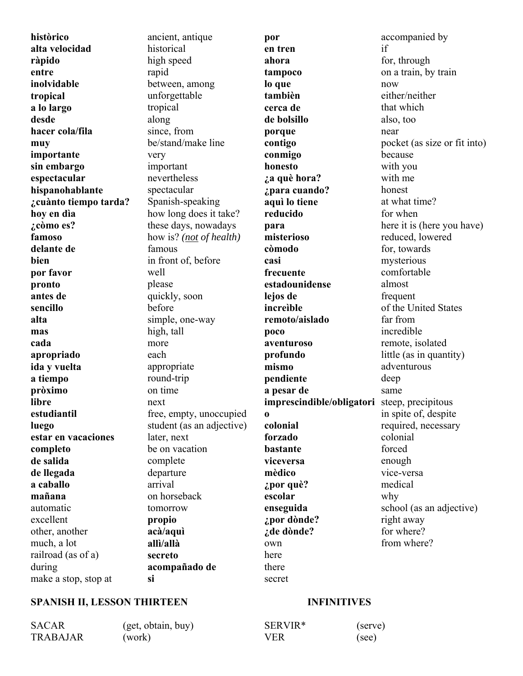**històrico alta velocidad ràpido entre inolvidable tropical a lo largo desde hacer cola/fila muy importante sin embargo espectacular hispanohablante ¿cuànto tiempo tarda? hoy en dìa ¿còmo es? famoso delante de bien por favor pronto antes de sencillo alta mas cada apropriado ida y vuelta a tiempo pròximo libre estudiantil luego estar en vacaciones completo de salida de llegada a caballo mañana** automatic excellent other, another much, a lot railroad (as of a) during make a stop, stop at

ancient, antique historical high speed rapid between, among unforgettable tropical along since, from be/stand/make line very important nevertheless spectacular Spanish-speaking how long does it take? these days, nowadays how is? *(not of health)* famous in front of, before well please quickly, soon before simple, one-way high, tall more each appropriate round-trip on time next free, empty, unoccupied student (as an adjective) later, next be on vacation complete departure arrival on horseback tomorrow **propio acà/aquì allì/allà secreto acompañado de si** 

**por en tren ahora tampoco lo que tambièn cerca de de bolsillo porque contigo conmigo honesto ¿a què hora? ¿para cuando? aquì lo tiene reducido para misterioso còmodo casi frecuente estadounidense lejos de increìble remoto/aislado poco aventuroso profundo mismo pendiente a pesar de imprescindible/obligatori** steep, precipitous **colonial forzado bastante viceversa mèdico ¿por què? escolar enseguida ¿por dònde? ¿de dònde?** own here there if now near why

accompanied by for, through on a train, by train either/neither that which also, too pocket (as size or fit into) because with you with me honest at what time? for when here it is (here you have) reduced, lowered for, towards mysterious comfortable almost frequent of the United States far from incredible remote, isolated little (as in quantity) adventurous deep same in spite of, despite required, necessary colonial forced enough vice-versa medical school (as an adjective) right away for where? from where?

# **SPANISH II, LESSON THIRTEEN INFINITIVES**

#### SACAR (get, obtain, buy) TRABAJAR (work)  $VER$

**o** 

secret

| SERVIR* | (serve) |
|---------|---------|
| VER.    | (see)   |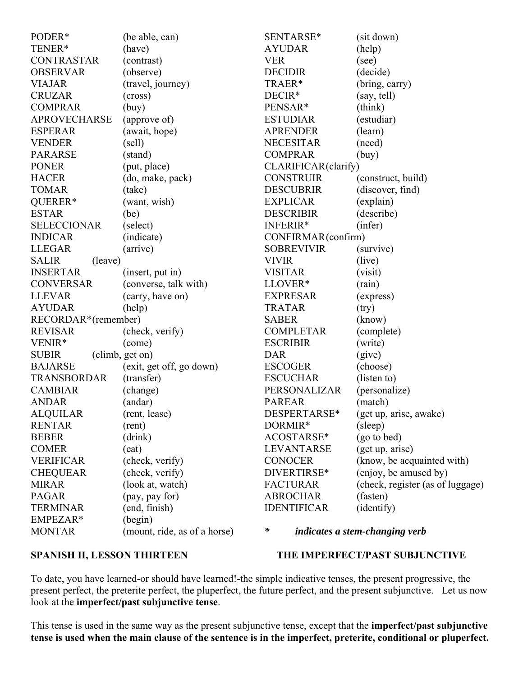| PODER*                  | (be able, can)               | SENTARSE*           | (sit down)                       |
|-------------------------|------------------------------|---------------------|----------------------------------|
| TENER*                  | (have)                       | <b>AYUDAR</b>       | (help)                           |
| <b>CONTRASTAR</b>       | (contrast)                   | <b>VER</b>          | (see)                            |
| <b>OBSERVAR</b>         | (observe)                    | <b>DECIDIR</b>      | (decide)                         |
| <b>VIAJAR</b>           | (travel, journey)            | TRAER*              | (bring, carry)                   |
| <b>CRUZAR</b>           | (cross)                      | DECIR <sup>*</sup>  | (say, tell)                      |
| <b>COMPRAR</b>          | (buy)                        | PENSAR <sup>*</sup> | (think)                          |
| <b>APROVECHARSE</b>     | (approve of)                 | <b>ESTUDIAR</b>     | (estudiar)                       |
| <b>ESPERAR</b>          | (await, hope)                | <b>APRENDER</b>     | (learn)                          |
| <b>VENDER</b>           | (sell)                       | <b>NECESITAR</b>    | (need)                           |
| <b>PARARSE</b>          | (stand)                      | <b>COMPRAR</b>      | (buy)                            |
| <b>PONER</b>            | (put, place)                 | CLARIFICAR(clarify) |                                  |
| <b>HACER</b>            | (do, make, pack)             | <b>CONSTRUIR</b>    | (construct, build)               |
| <b>TOMAR</b>            | (take)                       | <b>DESCUBRIR</b>    | (discover, find)                 |
| QUERER*                 | (want, wish)                 | <b>EXPLICAR</b>     | (explain)                        |
| <b>ESTAR</b>            | (be)                         | <b>DESCRIBIR</b>    | (describe)                       |
| <b>SELECCIONAR</b>      | (select)                     | INFERIR*            | (infer)                          |
| <b>INDICAR</b>          | (indicate)                   | CONFIRMAR(confirm)  |                                  |
| <b>LLEGAR</b>           | (arrive)                     | <b>SOBREVIVIR</b>   | (survive)                        |
| <b>SALIR</b><br>(leave) |                              | <b>VIVIR</b>        | (live)                           |
| <b>INSERTAR</b>         | (insert, put in)             | <b>VISITAR</b>      | (visit)                          |
| <b>CONVERSAR</b>        | (converse, talk with)        | LLOVER*             | (rain)                           |
| <b>LLEVAR</b>           | (carry, have on)             | <b>EXPRESAR</b>     | (express)                        |
| <b>AYUDAR</b>           | (help)                       | <b>TRATAR</b>       | (try)                            |
| RECORDAR*(remember)     |                              | <b>SABER</b>        | (know)                           |
| <b>REVISAR</b>          | (check, verify)              | <b>COMPLETAR</b>    | (complete)                       |
| VENIR*                  | (come)                       | <b>ESCRIBIR</b>     | (write)                          |
| <b>SUBIR</b>            | (climb, get on)              | <b>DAR</b>          | (give)                           |
| <b>BAJARSE</b>          | (exit, get off, go down)     | <b>ESCOGER</b>      | (choose)                         |
| <b>TRANSBORDAR</b>      | (transfer)                   | <b>ESCUCHAR</b>     | (listen to)                      |
| <b>CAMBIAR</b>          | (change)                     | PERSONALIZAR        | (personalize)                    |
| <b>ANDAR</b>            | (andar)                      | <b>PAREAR</b>       | (match)                          |
| <b>ALQUILAR</b>         | (rent, lease)                | DESPERTARSE*        | (get up, arise, awake)           |
| <b>RENTAR</b>           | (rent)                       | DORMIR*             | (sleep)                          |
| <b>BEBER</b>            | (drink)                      | ACOSTARSE*          | (go to bed)                      |
| <b>COMER</b>            | (eat)                        | LEVANTARSE          | (get up, arise)                  |
| <b>VERIFICAR</b>        | (check, verify)              | <b>CONOCER</b>      | (know, be acquainted with)       |
| <b>CHEQUEAR</b>         | (check, verify)              | DIVERTIRSE*         | (enjoy, be amused by)            |
| <b>MIRAR</b>            | (look at, watch)             | <b>FACTURAR</b>     | (check, register (as of luggage) |
| <b>PAGAR</b>            | (pay, pay for)               | <b>ABROCHAR</b>     | (fasten)                         |
| <b>TERMINAR</b>         | (end, finish)                | <b>IDENTIFICAR</b>  | (identify)                       |
| EMPEZAR*                | (begin)                      |                     |                                  |
| <b>MONTAR</b>           | (mount, ride, as of a horse) | ∗                   | indicates a stem-changing verb   |

# SPANISH II, LESSON THIRTEEN THE IMPERFECT/PAST SUBJUNCTIVE

To date, you have learned-or should have learned!-the simple indicative tenses, the present progressive, the present perfect, the preterite perfect, the pluperfect, the future perfect, and the present subjunctive. Let us now look at the **imperfect/past subjunctive tense**.

This tense is used in the same way as the present subjunctive tense, except that the **imperfect/past subjunctive tense is used when the main clause of the sentence is in the imperfect, preterite, conditional or pluperfect.**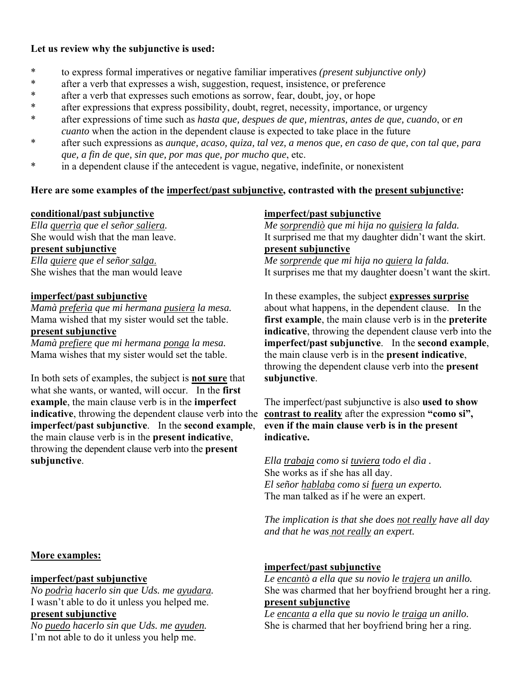# **Let us review why the subjunctive is used:**

- \* to express formal imperatives or negative familiar imperatives *(present subjunctive only)*
- \* after a verb that expresses a wish, suggestion, request, insistence, or preference
- \* after a verb that expresses such emotions as sorrow, fear, doubt, joy, or hope
- \* after expressions that express possibility, doubt, regret, necessity, importance, or urgency
- \* after expressions of time such as *hasta que, despues de que, mientras, antes de que, cuando*, or *en cuanto* when the action in the dependent clause is expected to take place in the future
- \* after such expressions as *aunque, acaso, quiza, tal vez, a menos que, en caso de que, con tal que, para que, a fin de que, sin que, por mas que, por mucho que*, etc.
- in a dependent clause if the antecedent is vague, negative, indefinite, or nonexistent

# Here are some examples of the <u>imperfect/past subjunctive</u>, contrasted with the <u>present subjunctive</u>:

# **conditional/past subjunctive**

*Ella querrìa que el señor saliera.* She would wish that the man leave. **present subjunctive** *Ella quiere que el señor salga*. She wishes that the man would leave

# **imperfect/past subjunctive**

*Mamà preferìa que mi hermana pusiera la mesa.* Mama wished that my sister would set the table.

# **present subjunctive**

*Mamà prefiere que mi hermana ponga la mesa.* Mama wishes that my sister would set the table.

In both sets of examples, the subject is **not sure** that what she wants, or wanted, will occur. In the **first example**, the main clause verb is in the **imperfect indicative**, throwing the dependent clause verb into the **imperfect/past subjunctive**. In the **second example**, the main clause verb is in the **present indicative**, throwing the dependent clause verb into the **present subjunctive**.

# **More examples:**

# **imperfect/past subjunctive**

*No podrìa hacerlo sin que Uds. me ayudara.* I wasn't able to do it unless you helped me. **present subjunctive**

*No puedo hacerlo sin que Uds. me ayuden.* I'm not able to do it unless you help me.

# **imperfect/past subjunctive**

*Me sorprendiò que mi hija no quisiera la falda.* It surprised me that my daughter didn't want the skirt. **present subjunctive** *Me sorprende que mi hija no quiera la falda.* It surprises me that my daughter doesn't want the skirt.

In these examples, the subject **expresses surprise** about what happens, in the dependent clause. In the **first example**, the main clause verb is in the **preterite indicative**, throwing the dependent clause verb into the **imperfect/past subjunctive**. In the **second example**, the main clause verb is in the **present indicative**, throwing the dependent clause verb into the **present subjunctive**.

The imperfect/past subjunctive is also **used to show contrast to reality** after the expression **"como si", even if the main clause verb is in the present indicative.**

*Ella trabaja como si tuviera todo el dìa .* She works as if she has all day. *El señor hablaba como si fuera un experto.* The man talked as if he were an expert.

*The implication is that she does not really have all day and that he was not really an expert.*

# **imperfect/past subjunctive**

*Le encantò a ella que su novio le trajera un anillo.* She was charmed that her boyfriend brought her a ring. **present subjunctive**

*Le encanta a ella que su novio le traiga un anillo.* She is charmed that her boyfriend bring her a ring.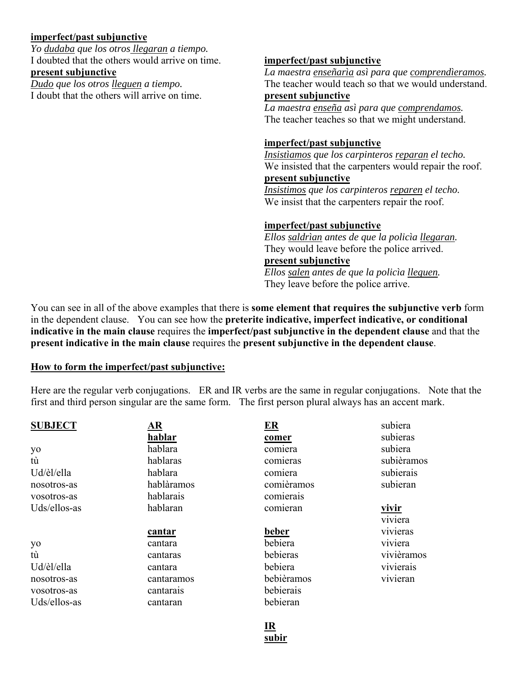# **imperfect/past subjunctive**

*Yo dudaba que los otros llegaran a tiempo.* I doubted that the others would arrive on time. **present subjunctive**

*Dudo que los otros lleguen a tiempo.* I doubt that the others will arrive on time.

# **imperfect/past subjunctive**

*La maestra enseñarìa asì para que comprendìeramos.* The teacher would teach so that we would understand. **present subjunctive**

*La maestra enseña asì para que comprendamos.* The teacher teaches so that we might understand.

# **imperfect/past subjunctive**

*Insistìamos que los carpinteros reparan el techo.* We insisted that the carpenters would repair the roof. **present subjunctive**

*Insistimos que los carpinteros reparen el techo.* We insist that the carpenters repair the roof.

# **imperfect/past subjunctive**

*Ellos saldrìan antes de que la policìa llegaran.* They would leave before the police arrived. **present subjunctive**

*Ellos salen antes de que la policìa lleguen.* They leave before the police arrive.

You can see in all of the above examples that there is **some element that requires the subjunctive verb** form in the dependent clause. You can see how the **preterite indicative, imperfect indicative, or conditional indicative in the main clause** requires the **imperfect/past subjunctive in the dependent clause** and that the **present indicative in the main clause** requires the **present subjunctive in the dependent clause**.

# **How to form the imperfect/past subjunctive:**

Here are the regular verb conjugations. ER and IR verbs are the same in regular conjugations. Note that the first and third person singular are the same form. The first person plural always has an accent mark.

| <b>SUBJECT</b> | <u>AR</u>  | $E_{\mathbf{R}}$ | subiera      |
|----------------|------------|------------------|--------------|
|                | hablar     | comer            | subieras     |
| yo             | hablara    | comiera          | subiera      |
| tù             | hablaras   | comieras         | subièramos   |
| Ud/èl/ella     | hablara    | comiera          | subierais    |
| nosotros-as    | hablàramos | comièramos       | subieran     |
| vosotros-as    | hablarais  | comierais        |              |
| Uds/ellos-as   | hablaran   | comieran         | <u>vivir</u> |
|                |            |                  | viviera      |
|                | cantar     | beber            | vivieras     |
| yo             | cantara    | bebiera          | viviera      |
| tù             | cantaras   | bebieras         | vivièramos   |
| Ud/èl/ella     | cantara    | bebiera          | vivierais    |
| nosotros-as    | cantaramos | bebièramos       | vivieran     |
| vosotros-as    | cantarais  | bebierais        |              |
| Uds/ellos-as   | cantaran   | bebieran         |              |

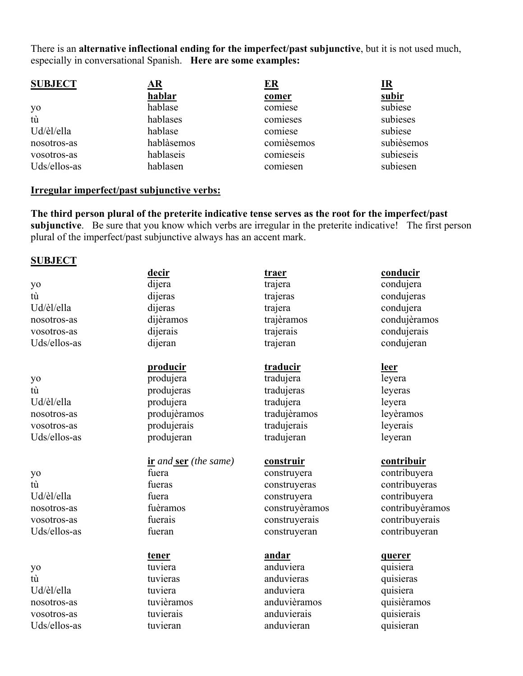There is an **alternative inflectional ending for the imperfect/past subjunctive**, but it is not used much, especially in conversational Spanish. **Here are some examples:**

| <b>SUBJECT</b> | AR         | $E_{\rm R}$ | <u>IR</u>  |
|----------------|------------|-------------|------------|
|                | hablar     | comer       | subir      |
| yo             | hablase    | comiese     | subiese    |
| tù             | hablases   | comieses    | subieses   |
| Ud/èl/ella     | hablase    | comiese     | subiese    |
| nosotros-as    | hablàsemos | comièsemos  | subièsemos |
| vosotros-as    | hablaseis  | comieseis   | subieseis  |
| Uds/ellos-as   | hablasen   | comiesen    | subiesen   |

#### **Irregular imperfect/past subjunctive verbs:**

**The third person plural of the preterite indicative tense serves as the root for the imperfect/past subjunctive**. Be sure that you know which verbs are irregular in the preterite indicative! The first person plural of the imperfect/past subjunctive always has an accent mark.

#### **SUBJECT**

yo tù Ud/èl/ella nosotros-as vosotros-as Uds/ellos-as

- yo tù Ud/èl/ella nosotros-as vosotros-as Uds/ellos-as
- yo tù Ud/èl/ella nosotros-as vosotros-as Uds/ellos-as

yo tù Ud/èl/ella nosotros-as vosotros-as Uds/ellos-as **decir** dijera dijeras dijeras dijèramos dijerais

# **producir**

dijeran

produjera produjeras produjera produjèramos produjerais produjeran

**ir** *and* **ser** *(the same)* fuera fueras fuera fuèramos fuerais fueran

**tener** tuviera tuvieras tuviera tuvièramos tuvierais tuvieran

**traer** trajera trajeras trajera trajèramos trajerais trajeran

**traducir** tradujera

tradujeras tradujera tradujèramos tradujerais tradujeran

# **construir**

construyera construyeras construyera construyèramos construyerais construyeran

# **andar**

anduviera anduvieras anduviera anduvièramos anduvierais anduvieran

**conducir**

condujera condujeras condujera condujèramos condujerais condujeran

### **leer**

leyera leyeras leyera leyèramos leyerais leyeran

### **contribuir**

contribuyera contribuyeras contribuyera contribuyèramos contribuyerais contribuyeran

#### **querer**

quisiera quisieras quisiera quisièramos quisierais quisieran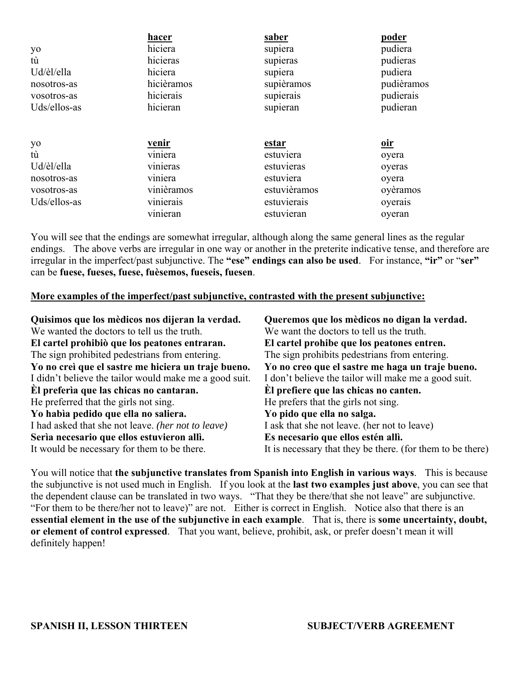|              | hacer                       | <u>saber</u> | <u>poder</u> |
|--------------|-----------------------------|--------------|--------------|
| yo           | hiciera                     | supiera      | pudiera      |
| tù           | hicieras                    | supieras     | pudieras     |
| Ud/èl/ella   | hiciera                     | supiera      | pudiera      |
| nosotros-as  | hicièramos                  | supièramos   | pudièramos   |
| vosotros-as  | hicierais                   | supierais    | pudierais    |
| Uds/ellos-as | hicieran                    | supieran     | pudieran     |
|              |                             |              |              |
| yo           | <u>venir</u>                | <u>estar</u> | <u>oir</u>   |
| tù           | $\overline{\text{viniera}}$ | estuviera    | oyera        |
| Ud/èl/ella   | vinieras                    | estuvieras   | oyeras       |
| nosotros-as  | viniera                     | estuviera    | oyera        |
| vosotros-as  | vinièramos                  | estuvièramos | oyèramos     |
| Uds/ellos-as | vinierais                   | estuvierais  | oyerais      |
|              | vinieran                    | estuvieran   | oyeran       |

You will see that the endings are somewhat irregular, although along the same general lines as the regular endings. The above verbs are irregular in one way or another in the preterite indicative tense, and therefore are irregular in the imperfect/past subjunctive. The **"ese" endings can also be used**. For instance, **"ir"** or "**ser"**  can be **fuese, fueses, fuese, fuèsemos, fueseis, fuesen**.

### **More examples of the imperfect/past subjunctive, contrasted with the present subjunctive:**

| Quisimos que los mèdicos nos dijeran la verdad.        | Queremos que los mèdicos no digan la verdad.               |
|--------------------------------------------------------|------------------------------------------------------------|
| We wanted the doctors to tell us the truth.            | We want the doctors to tell us the truth.                  |
| El cartel prohibiò que los peatones entraran.          | El cartel prohibe que los peatones entren.                 |
| The sign prohibited pedestrians from entering.         | The sign prohibits pedestrians from entering.              |
| Yo no creì que el sastre me hiciera un traje bueno.    | Yo no creo que el sastre me haga un traje bueno.           |
| I didn't believe the tailor would make me a good suit. | I don't believe the tailor will make me a good suit.       |
| El prefería que las chicas no cantaran.                | El prefiere que las chicas no canten.                      |
| He preferred that the girls not sing.                  | He prefers that the girls not sing.                        |
| Yo habìa pedido que ella no saliera.                   | Yo pido que ella no salga.                                 |
| I had asked that she not leave. (her not to leave)     | I ask that she not leave. (her not to leave)               |
| Serìa necesario que ellos estuvieron allì.             | Es necesario que ellos estén allì.                         |
| It would be necessary for them to be there.            | It is necessary that they be there. (for them to be there) |

You will notice that **the subjunctive translates from Spanish into English in various ways**. This is because the subjunctive is not used much in English. If you look at the **last two examples just above**, you can see that the dependent clause can be translated in two ways. "That they be there/that she not leave" are subjunctive. "For them to be there/her not to leave)" are not. Either is correct in English. Notice also that there is an **essential element in the use of the subjunctive in each example**. That is, there is **some uncertainty, doubt, or element of control expressed**. That you want, believe, prohibit, ask, or prefer doesn't mean it will definitely happen!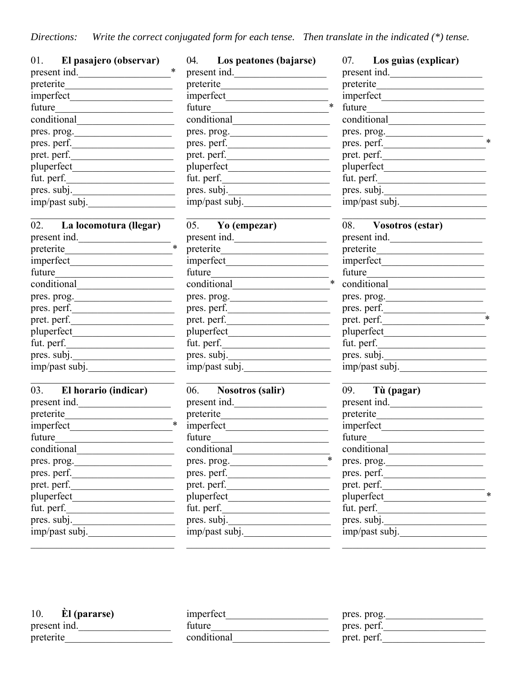*Directions: Write the correct conjugated form for each tense. Then translate in the indicated (\*) tense.*

| 01.<br>El pasajero (observar) |
|-------------------------------|
| *<br>present ind.             |
| preterite                     |
| imperfect                     |
| future                        |
| conditional                   |
| pres. prog.                   |
| pres. perf.                   |
| pret. perf.                   |
| pluperfect                    |
| fut. perf.                    |
| pres. subj.                   |
| imp/past subj.                |

| 02.<br>La locomotura (llegar) |  |
|-------------------------------|--|
| present ind.                  |  |
| preterite                     |  |
| imperfect                     |  |
| future                        |  |
| conditional                   |  |
| pres. prog.                   |  |
| pres. perf.                   |  |
| pret. perf.                   |  |
| pluperfect                    |  |
| fut. perf.                    |  |
| pres. subj.                   |  |
| imp/past subj.                |  |

| 03.          | El horario (indicar) |  |
|--------------|----------------------|--|
| present ind. |                      |  |
| preterite    |                      |  |
| imperfect    |                      |  |
| future       |                      |  |
| conditional  |                      |  |
| pres. prog.  |                      |  |
| pres. perf.  |                      |  |
| pret. perf.  |                      |  |
| pluperfect   |                      |  |
| fut. perf.   |                      |  |
| pres. subj.  |                      |  |
|              | imp/past subj.       |  |
|              |                      |  |

| 04.<br>Los peatones (bajarse) |  |
|-------------------------------|--|
| present ind.                  |  |
| preterite                     |  |
| imperfect                     |  |
| future                        |  |
| conditional                   |  |
| pres. prog.                   |  |
| pres. perf.                   |  |
| pret. perf.                   |  |
| pluperfect                    |  |
| fut. perf.                    |  |
| pres. subj.                   |  |
| imp/past subj.                |  |

| 05.<br>Yo (empezar) |  |
|---------------------|--|
| present ind.        |  |
| preterite           |  |
| imperfect           |  |
| future              |  |
| conditional         |  |
| pres. prog.         |  |
| pres. perf.         |  |
| pret. perf.         |  |
| pluperfect          |  |
| fut. perf.          |  |
| pres. subj.         |  |
| imp/past subj.      |  |

| <b>Nosotros (salir)</b><br>06. |
|--------------------------------|
| present ind.                   |
| preterite                      |
| imperfect                      |
| future                         |
| conditional                    |
| pres. prog.                    |
| pres. perf.                    |
| pret. perf.                    |
| pluperfect                     |
| fut. perf.                     |
| pres. subj.                    |
| imp/past subj.                 |

| Los guias (explicar)<br>07. |  |
|-----------------------------|--|
| present ind.                |  |
| preterite                   |  |
| imperfect                   |  |
| future                      |  |
| conditional                 |  |
| pres. prog.                 |  |
| pres. perf.                 |  |
| pret. perf.                 |  |
| pluperfect                  |  |
| fut. perf.                  |  |
| pres. subj.                 |  |
| imp/past subj.              |  |

| 08.          | <b>Vosotros (estar)</b> |  |
|--------------|-------------------------|--|
| present ind. |                         |  |
| preterite    |                         |  |
| imperfect    |                         |  |
| future       |                         |  |
| conditional  |                         |  |
| pres. prog.  |                         |  |
| pres. perf.  |                         |  |
| pret. perf.  |                         |  |
| pluperfect   |                         |  |
| fut. perf.   |                         |  |
| pres. subj.  |                         |  |
|              | imp/past subj.          |  |

| 09.         | Tù (pagar)     |  |
|-------------|----------------|--|
|             | present ind.   |  |
| preterite   |                |  |
| imperfect   |                |  |
| future      |                |  |
|             | conditional    |  |
| pres. prog. |                |  |
| pres. perf. |                |  |
| pret. perf. |                |  |
| pluperfect  |                |  |
| fut. perf.  |                |  |
| pres. subj. |                |  |
|             | imp/past subj. |  |

| 10.       | <b>El</b> (pararse) |  |
|-----------|---------------------|--|
|           | present ind.        |  |
| preterite |                     |  |

| imperfect   |  |
|-------------|--|
| future      |  |
| conditional |  |

| pres. prog. |  |
|-------------|--|
| pres. perf. |  |
| pret. perf. |  |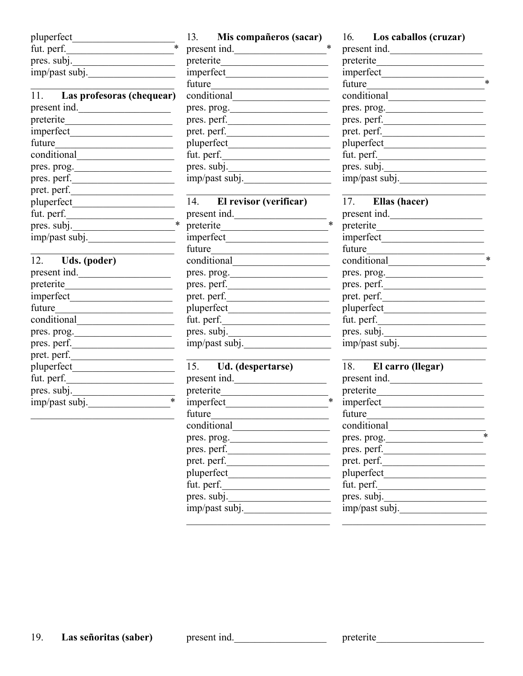| pluperfect     |  |
|----------------|--|
| fut. perf.     |  |
| pres. subj.    |  |
| imp/past subj. |  |

| 11.<br>Las profesoras (chequear) |  |
|----------------------------------|--|
| present ind.                     |  |
| preterite                        |  |
| imperfect                        |  |
| future                           |  |
| conditional                      |  |
| pres. prog.                      |  |
| pres. perf.                      |  |
| pret. perf.                      |  |
| pluperfect                       |  |
| fut. perf.                       |  |
| pres. subj.                      |  |
| imp/past subj.                   |  |

| 12.<br>Uds. (poder) |  |
|---------------------|--|
| present ind.        |  |
| preterite           |  |
| imperfect           |  |
| future              |  |
| conditional         |  |
| pres. prog.         |  |
| pres. perf.         |  |
| pret. perf.         |  |
| pluperfect          |  |
| fut. perf.          |  |
| pres. subj.         |  |
| imp/past subj.      |  |
|                     |  |

13. **Mis compañeros (sacar)** present ind.\_\_\_\_\_\_\_\_\_\_\_\_\_\_\_\_\_\_\* preterite\_\_\_\_\_\_\_\_\_\_\_\_\_\_\_\_\_\_\_\_\_ imperfect\_\_\_\_\_\_\_\_\_\_\_\_\_\_\_\_\_\_\_\_ future conditional\_\_\_\_\_\_\_\_\_\_\_\_\_\_\_\_\_\_\_ pres. prog. pres. perf.\_\_\_\_\_\_\_\_\_\_\_\_\_\_\_\_\_\_\_\_ pret. perf. pluperfect\_\_\_\_\_\_\_\_\_\_\_\_\_\_\_\_\_\_\_\_  $fut.$  perf.  $\frac{$ pres. subj. imp/past subj.

| El revisor (verificar) |
|------------------------|
|                        |
|                        |
|                        |
|                        |
|                        |
|                        |
|                        |
|                        |
|                        |
|                        |
|                        |
|                        |
|                        |

| 15.<br>Ud. (despertarse) |  |
|--------------------------|--|
| present ind.             |  |
| preterite                |  |
| imperfect                |  |
| future                   |  |
| conditional              |  |
| pres. prog.              |  |
| pres. perf.              |  |
| pret. perf.              |  |
| pluperfect               |  |
| fut. perf.               |  |
| pres. subj.              |  |
| imp/past subj.           |  |

16. **Los caballos (cruzar)** present ind. preterite\_\_\_\_\_\_\_\_\_\_\_\_\_\_\_\_\_\_\_\_\_  $\frac{1}{\text{imperfect}}$ future conditional\_\_\_\_\_\_\_\_\_\_\_\_\_\_\_\_\_\_\_ pres. prog. pres. perf.\_\_\_\_\_\_\_\_\_\_\_\_\_\_\_\_\_\_\_\_ pret. perf. pluperfect\_\_\_\_\_\_\_\_\_\_\_\_\_\_\_\_\_\_\_\_ fut. perf.\_\_\_\_\_\_\_\_\_\_\_\_\_\_\_\_\_\_\_\_\_ pres. subj. imp/past subj.\_\_\_\_\_\_\_\_\_\_\_\_\_\_\_\_\_

| 17.<br>Ellas (hacer) |  |  |  |  |
|----------------------|--|--|--|--|
| present ind.         |  |  |  |  |
| preterite            |  |  |  |  |
| imperfect            |  |  |  |  |
| future               |  |  |  |  |
| conditional          |  |  |  |  |
| pres. prog.          |  |  |  |  |
| pres. perf.          |  |  |  |  |
| pret. perf.          |  |  |  |  |
| pluperfect           |  |  |  |  |
| fut. perf.           |  |  |  |  |
| pres. subj.          |  |  |  |  |
| imp/past subj.       |  |  |  |  |

| 18.<br>El carro (llegar) |  |
|--------------------------|--|
| present ind.             |  |
| preterite                |  |
| imperfect                |  |
| future                   |  |
| conditional              |  |
| pres. prog.              |  |
| pres. perf.              |  |
| pret. perf.              |  |
| pluperfect               |  |
| fut. perf.               |  |
| pres. subj.              |  |
| imp/past subj.           |  |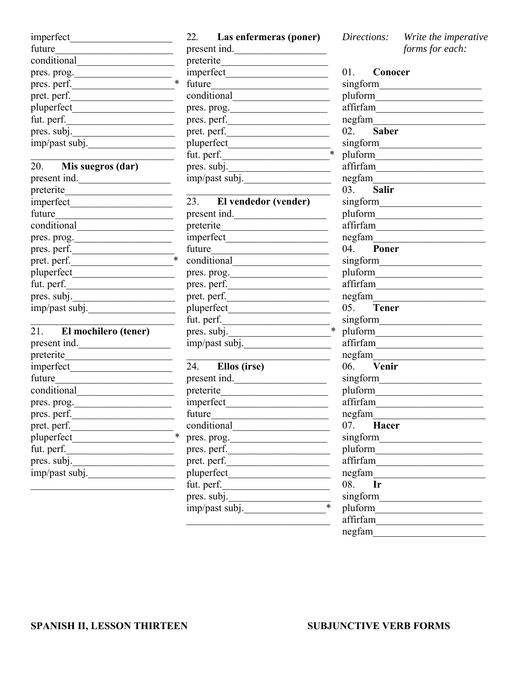| imperfect      |  |
|----------------|--|
| future         |  |
| conditional    |  |
| pres. prog.    |  |
| pres. perf.    |  |
| pret. perf.    |  |
| pluperfect     |  |
| fut. perf.     |  |
| pres. subj.    |  |
| imp/past subj. |  |

| 20.            | Mis suegros (dar) |  |
|----------------|-------------------|--|
| present ind.   |                   |  |
| preterite      |                   |  |
| imperfect      |                   |  |
| future         |                   |  |
| conditional    |                   |  |
| pres. prog.    |                   |  |
| pres. perf.    |                   |  |
| pret. perf.    |                   |  |
| pluperfect     |                   |  |
| fut. perf.     |                   |  |
| pres. subj.    |                   |  |
| imp/past subj. |                   |  |
|                |                   |  |

| 21.<br>El mochilero (tener) |  |
|-----------------------------|--|
| present ind.                |  |
| preterite                   |  |
| imperfect                   |  |
| future                      |  |
| conditional                 |  |
| pres. prog.                 |  |
| pres. perf.                 |  |
| pret. perf.                 |  |
| pluperfect                  |  |
| fut. perf.                  |  |
| pres. subj.                 |  |
| imp/past subj.              |  |
|                             |  |

# 22. **Las enfermeras (poner)** present ind.

| preterite      |  |
|----------------|--|
| imperfect      |  |
| future         |  |
| conditional    |  |
| pres. prog.    |  |
| pres. perf.    |  |
| pret. perf.    |  |
| pluperfect     |  |
| fut. perf.     |  |
| pres. subj.    |  |
| imp/past subj. |  |
|                |  |

| 23.<br>El vendedor (vender) |  |
|-----------------------------|--|
| present ind.                |  |
| preterite                   |  |
| imperfect                   |  |
| future                      |  |
| conditional                 |  |
| pres. prog.                 |  |
| pres. perf.                 |  |
| pret. perf.                 |  |
| pluperfect                  |  |
| fut. perf.                  |  |
| pres. subj.                 |  |
| imp/past subj.              |  |
|                             |  |

| 24.<br>Ellos (irse) |  |  |  |
|---------------------|--|--|--|
| present ind.        |  |  |  |
| preterite           |  |  |  |
| imperfect           |  |  |  |
| future              |  |  |  |
| conditional         |  |  |  |
| pres. prog.         |  |  |  |
| pres. perf.         |  |  |  |
| pret. perf.         |  |  |  |
| pluperfect          |  |  |  |
| fut. perf.          |  |  |  |
| pres. subj.         |  |  |  |
| imp/past subj.      |  |  |  |

*Directions: Write the imperative forms for each:*

|          | 01. Conocer               |
|----------|---------------------------|
| singform |                           |
|          |                           |
|          | $\operatorname{affirfam}$ |
|          |                           |
|          | 02. Saber                 |
|          |                           |
|          |                           |
|          | affirfam                  |
|          | negfam                    |
| 03.      | <b>Salir</b>              |
|          |                           |
|          |                           |
|          | affirfam                  |
|          |                           |
| 04.      | Poner                     |
|          |                           |
|          |                           |
|          | affirfam                  |
|          |                           |
| 05.      | <b>Tener</b>              |
|          |                           |
|          |                           |
|          | affirfam                  |
|          |                           |
|          |                           |
|          |                           |
|          |                           |
|          | affirfam                  |
|          |                           |
|          | 07. Hacer                 |
| singform |                           |
| pluform  |                           |
| affirfam |                           |
| negfam   |                           |
| 08.      | Ir                        |
| singform |                           |
| pluform  |                           |
| affirfam |                           |
| negfam   |                           |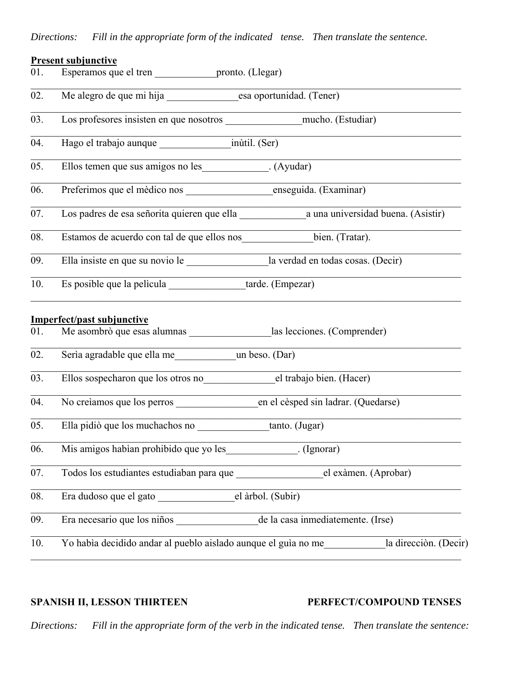# *Directions: Fill in the appropriate form of the indicated tense. Then translate the sentence.*

# **Present subjunctive** 01. Esperamos que el tren pronto. (Llegar) 02. Me alegro de que mi hija esa oportunidad. (Tener) 03. Los profesores insisten en que nosotros \_\_\_\_\_\_\_\_\_\_\_\_\_\_\_mucho. (Estudiar) 04. Hago el trabajo aunque inùtil. (Ser) 05. Ellos temen que sus amigos no les (Ayudar) 06. Preferimos que el mèdico nos enseguida. (Examinar) 07. Los padres de esa señorita quieren que ella \_\_\_\_\_\_\_\_\_\_\_\_\_a una universidad buena. (Asistir) 08. Estamos de acuerdo con tal de que ellos nos\_\_\_\_\_\_\_\_\_\_\_\_\_\_bien. (Tratar). 09. Ella insiste en que su novio le la verdad en todas cosas. (Decir) 10. Es posible que la pelìcula tarde. (Empezar) **Imperfect/past subjunctive** 01. Me asombrò que esas alumnas las lecciones. (Comprender) 02. Serìa agradable que ella me un beso. (Dar) 03. Ellos sospecharon que los otros no el trabajo bien. (Hacer) 04. No creìamos que los perros en el cèsped sin ladrar. (Quedarse)  $\mathcal{L}_\mathcal{L} = \mathcal{L}_\mathcal{L} = \mathcal{L}_\mathcal{L} = \mathcal{L}_\mathcal{L} = \mathcal{L}_\mathcal{L} = \mathcal{L}_\mathcal{L} = \mathcal{L}_\mathcal{L} = \mathcal{L}_\mathcal{L} = \mathcal{L}_\mathcal{L} = \mathcal{L}_\mathcal{L} = \mathcal{L}_\mathcal{L} = \mathcal{L}_\mathcal{L} = \mathcal{L}_\mathcal{L} = \mathcal{L}_\mathcal{L} = \mathcal{L}_\mathcal{L} = \mathcal{L}_\mathcal{L} = \mathcal{L}_\mathcal{L}$ 05. Ella pidiò que los muchachos no tanto. (Jugar) 06. Mis amigos habìan prohibido que yo les\_\_\_\_\_\_\_\_\_\_\_\_\_\_. (Ignorar) 07. Todos los estudiantes estudiaban para que el exàmen. (Aprobar) 08. Era dudoso que el gato el el àrbol. (Subir) 09. Era necesario que los niños de la casa inmediatemente. (Irse)  $\mathcal{L}_\mathcal{L} = \mathcal{L}_\mathcal{L} = \mathcal{L}_\mathcal{L} = \mathcal{L}_\mathcal{L} = \mathcal{L}_\mathcal{L} = \mathcal{L}_\mathcal{L} = \mathcal{L}_\mathcal{L} = \mathcal{L}_\mathcal{L} = \mathcal{L}_\mathcal{L} = \mathcal{L}_\mathcal{L} = \mathcal{L}_\mathcal{L} = \mathcal{L}_\mathcal{L} = \mathcal{L}_\mathcal{L} = \mathcal{L}_\mathcal{L} = \mathcal{L}_\mathcal{L} = \mathcal{L}_\mathcal{L} = \mathcal{L}_\mathcal{L}$ 10. Yo habìa decidido andar al pueblo aislado aunque el guìa no me\_\_\_\_\_\_\_\_\_\_\_\_la direcciòn. (Decir)

### **SPANISH II, LESSON THIRTEEN PERFECT/COMPOUND TENSES**

*Directions: Fill in the appropriate form of the verb in the indicated tense. Then translate the sentence:*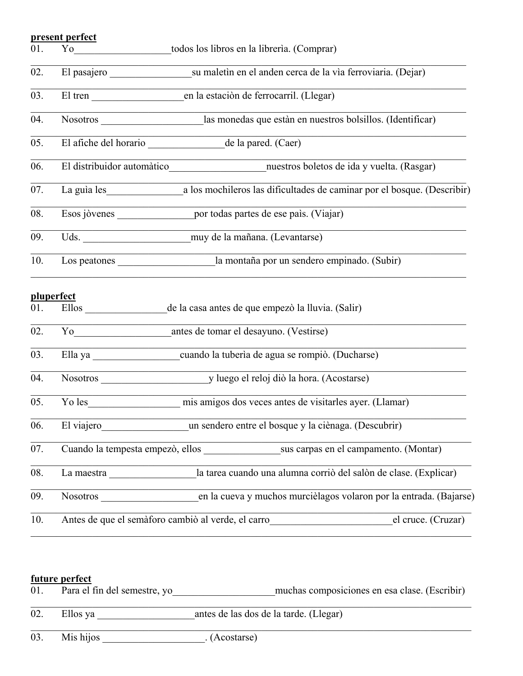### **present perfect**

|  | 01. |  | todos los libros en la librería. (Comprar) |  |  |  |  |
|--|-----|--|--------------------------------------------|--|--|--|--|
|--|-----|--|--------------------------------------------|--|--|--|--|

|  |  | su maletin en el anden cerca de la via ferroviaria. (Dejar) |  |
|--|--|-------------------------------------------------------------|--|
|--|--|-------------------------------------------------------------|--|

- 03. El tren en la estación de ferrocarril. (Llegar)
- 04. Nosotros las monedas que estàn en nuestros bolsillos. (Identificar)
- $\overline{05}$ . El afiche del horario  $\overline{05}$  de la pared. (Caer)
- 06. El distribuidor automàtico\_\_\_\_\_\_\_\_\_\_\_\_\_\_\_\_\_\_\_nuestros boletos de ida y vuelta. (Rasgar)
- 07. La guìa les a los mochileros las dificultades de caminar por el bosque. (Describir)
- 08. Esos jòvenes por todas partes de ese paìs. (Viajar)
- 09. Uds. \_\_\_\_\_\_\_\_\_\_\_\_\_\_\_\_\_\_\_\_\_muy de la mañana. (Levantarse)
- 10. Los peatones la montaña por un sendero empinado. (Subir)

### **pluperfect**

- 01. Ellos de la casa antes de que empezò la lluvia. (Salir)
- 02. Yo antes de tomar el desayuno. (Vestirse)
- 03. Ella ya \_\_\_\_\_\_\_\_\_\_\_\_\_\_\_\_\_cuando la tuberìa de agua se rompiò. (Ducharse)
- 04. Nosotros y luego el reloj diò la hora. (Acostarse)
- 05. Yo les mis amigos dos veces antes de visitarles ayer. (Llamar)
- 06. El viajero<br>un sendero entre el bosque y la ciènaga. (Descubrir)
- 07. Cuando la tempesta empezò, ellos sus carpas en el campamento. (Montar)
- 08. La maestra \_\_\_\_\_\_\_\_\_\_\_\_\_\_\_\_\_la tarea cuando una alumna corriò del salòn de clase. (Explicar)

 $\mathcal{L}_\mathcal{L} = \mathcal{L}_\mathcal{L} = \mathcal{L}_\mathcal{L} = \mathcal{L}_\mathcal{L} = \mathcal{L}_\mathcal{L} = \mathcal{L}_\mathcal{L} = \mathcal{L}_\mathcal{L} = \mathcal{L}_\mathcal{L} = \mathcal{L}_\mathcal{L} = \mathcal{L}_\mathcal{L} = \mathcal{L}_\mathcal{L} = \mathcal{L}_\mathcal{L} = \mathcal{L}_\mathcal{L} = \mathcal{L}_\mathcal{L} = \mathcal{L}_\mathcal{L} = \mathcal{L}_\mathcal{L} = \mathcal{L}_\mathcal{L}$ 

- 09. Nosotros \_\_\_\_\_\_\_\_\_\_\_\_\_\_\_\_\_\_\_en la cueva y muchos murcièlagos volaron por la entrada. (Bajarse)
- 10. Antes de que el semàforo cambiò al verde, el carro de el cruce. (Cruzar)  $\mathcal{L}_\mathcal{L} = \mathcal{L}_\mathcal{L} = \mathcal{L}_\mathcal{L} = \mathcal{L}_\mathcal{L} = \mathcal{L}_\mathcal{L} = \mathcal{L}_\mathcal{L} = \mathcal{L}_\mathcal{L} = \mathcal{L}_\mathcal{L} = \mathcal{L}_\mathcal{L} = \mathcal{L}_\mathcal{L} = \mathcal{L}_\mathcal{L} = \mathcal{L}_\mathcal{L} = \mathcal{L}_\mathcal{L} = \mathcal{L}_\mathcal{L} = \mathcal{L}_\mathcal{L} = \mathcal{L}_\mathcal{L} = \mathcal{L}_\mathcal{L}$

# **future perfect**

| 01. | Para el fin del semestre, yo | muchas composiciones en esa clase. (Escribir) |
|-----|------------------------------|-----------------------------------------------|
| 02. | Ellos ya                     | antes de las dos de la tarde. (Llegar)        |
| 03. | Mis hijos                    | . (Acostarse)                                 |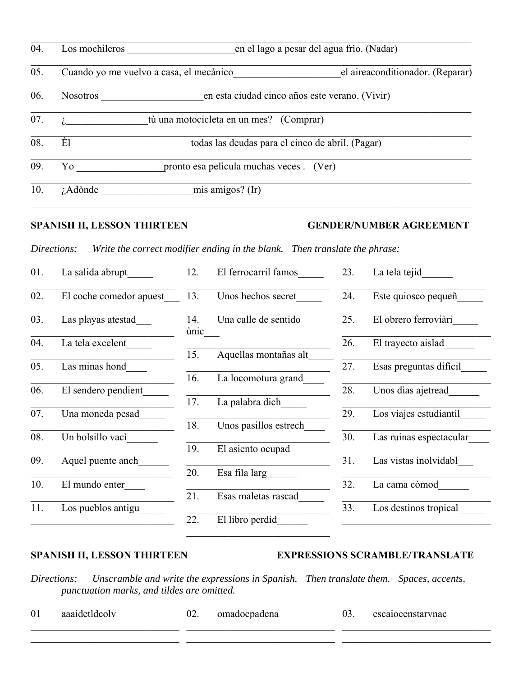| 04. | Los mochileros                          |                                                  | en el lago a pesar del agua frio. (Nadar) |
|-----|-----------------------------------------|--------------------------------------------------|-------------------------------------------|
| 05. | Cuando yo me vuelvo a casa, el mecànico |                                                  | el aireaconditionador. (Reparar)          |
| 06. | <b>Nosotros</b>                         | en esta ciudad cinco años este verano. (Vivir)   |                                           |
| 07. |                                         | tù una motocicleta en un mes? (Comprar)          |                                           |
| 08. | Èl                                      | todas las deudas para el cinco de abril. (Pagar) |                                           |
| 09. | Yo                                      | pronto esa pelicula muchas veces . (Ver)         |                                           |
| 10. | <i>i</i> .Adònde                        | mis amigos? (Ir)                                 |                                           |

# **SPANISH II, LESSON THIRTEEN GENDER/NUMBER AGREEMENT**

*Directions: Write the correct modifier ending in the blank. Then translate the phrase:*

| La salida abrupt        | 12.                | El ferrocarril famos  | 23.                                                           | La tela tejid           |
|-------------------------|--------------------|-----------------------|---------------------------------------------------------------|-------------------------|
| El coche comedor apuest | 13.                | Unos hechos secret    | 24.                                                           | Este quiosco pequeñ     |
| Las playas atestad      | 14.<br>ùnic        | Una calle de sentido  | 25.                                                           | El obrero ferroviàri    |
| La tela excelent        |                    |                       | 26.                                                           | El trayecto aislad      |
|                         |                    |                       |                                                               |                         |
| Las minas hond          |                    |                       | 27.                                                           | Esas preguntas dificil  |
|                         | 16.                | La locomotura grand   |                                                               |                         |
| El sendero pendient     |                    |                       | 28.                                                           | Unos dias ajetread      |
|                         | 17.                |                       |                                                               |                         |
| Una moneda pesad        |                    |                       | 29.                                                           | Los viajes estudiantil  |
|                         | 18.                | Unos pasillos estrech |                                                               |                         |
| Un bolsillo vacì        |                    |                       | 30.                                                           | Las ruinas espectacular |
|                         | 19.                |                       |                                                               |                         |
| Aquel puente anch       |                    |                       | 31.                                                           | Las vistas inolvidabl   |
|                         | 20.                | Esa fila larg         |                                                               |                         |
| El mundo enter          |                    |                       | 32.                                                           | La cama còmod           |
|                         | 21.                | Esas maletas rascad   |                                                               |                         |
|                         |                    |                       | 33.                                                           | Los destinos tropical   |
|                         | 22.                | El libro perdid       |                                                               |                         |
|                         | Los pueblos antigu | 15.                   | Aquellas montañas alt<br>La palabra dich<br>El asiento ocupad |                         |

# SPANISH II, LESSON THIRTEEN EXPRESSIONS SCRAMBLE/TRANSLATE

*Directions: Unscramble and write the expressions in Spanish. Then translate them. Spaces, accents, punctuation marks, and tildes are omitted.*

 $\mathcal{L}_\text{max}$  , and the set of the set of the set of the set of the set of the set of the set of the set of the set of the set of the set of the set of the set of the set of the set of the set of the set of the set of the

| $01\,$ | aaaidetldcolv | UZ. | omadocpadena | escanoeenstarvnac |
|--------|---------------|-----|--------------|-------------------|
|        |               |     |              |                   |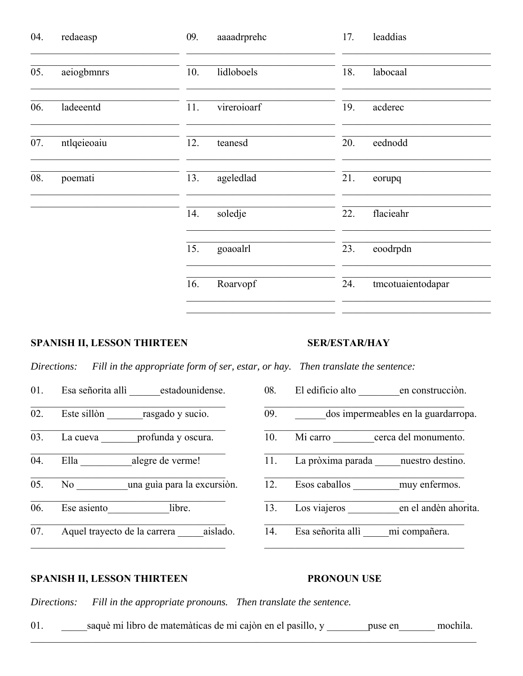| 04. | redaeasp    | 09. | aaaadrprehc | 17. | leaddias          |
|-----|-------------|-----|-------------|-----|-------------------|
| 05. | aeiogbmnrs  | 10. | lidloboels  | 18. | labocaal          |
| 06. | ladeeentd   | 11. | vireroioarf | 19. | acderec           |
| 07. | ntlqeieoaiu | 12. | teanesd     | 20. | eednodd           |
| 08. | poemati     | 13. | ageledlad   | 21. | eorupq            |
|     |             | 14. | soledje     | 22. | flacieahr         |
|     |             | 15. | goaoalrl    | 23. | eoodrpdn          |
|     |             | 16. | Roarvopf    | 24. | tmcotuaientodapar |
|     |             |     |             |     |                   |

# **SPANISH II, LESSON THIRTEEN**

# **SER/ESTAR/HAY**

Fill in the appropriate form of ser, estar, or hay. Then translate the sentence: Directions:

- Esa señorita allì \_\_\_\_\_\_\_estadounidense. 01. Este sillòn rasgado y sucio. 02.  $\overline{03}$ . La cueva profunda y oscura. Ella alegre de verme! 04. No una guia para la excursión. 05. Ese asiento libre. 06.
- $\overline{07}$ . Aquel trayecto de la carrera aislado.
- El edificio alto en construcción. 08.
- dos impermeables en la guardarropa. 09.
- Mi carro cerca del monumento.  $\overline{10}$ .
- La pròxima parada nuestro destino. 11.
- Esos caballos muy enfermos.  $12.$
- Los viajeros en el andèn ahorita. 13.
- $\overline{14}$ . Esa señorita allì mi compañera.

# **SPANISH II, LESSON THIRTEEN**

# **PRONOUN USE**

Directions: Fill in the appropriate pronouns. Then translate the sentence.

saquè mi libro de matemàticas de mi cajòn en el pasillo, y \_\_\_\_\_\_\_\_ puse en \_\_\_\_\_\_\_ mochila. 01.